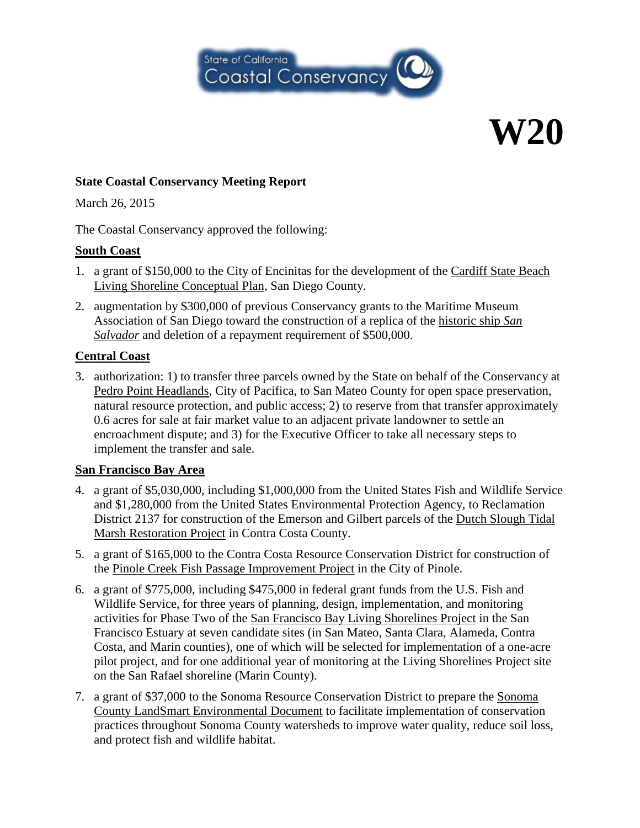

# **W20**

#### **State Coastal Conservancy Meeting Report**

March 26, 2015

The Coastal Conservancy approved the following:

### **South Coast**

- 1. a grant of \$150,000 to the City of Encinitas for the development of the Cardiff State Beach Living Shoreline Conceptual Plan, San Diego County.
- 2. augmentation by \$300,000 of previous Conservancy grants to the Maritime Museum Association of San Diego toward the construction of a replica of the historic ship *San Salvador* and deletion of a repayment requirement of \$500,000.

### **Central Coast**

3. authorization: 1) to transfer three parcels owned by the State on behalf of the Conservancy at Pedro Point Headlands, City of Pacifica, to San Mateo County for open space preservation, natural resource protection, and public access; 2) to reserve from that transfer approximately 0.6 acres for sale at fair market value to an adjacent private landowner to settle an encroachment dispute; and 3) for the Executive Officer to take all necessary steps to implement the transfer and sale.

# **San Francisco Bay Area**

- 4. a grant of \$5,030,000, including \$1,000,000 from the United States Fish and Wildlife Service and \$1,280,000 from the United States Environmental Protection Agency, to Reclamation District 2137 for construction of the Emerson and Gilbert parcels of the Dutch Slough Tidal Marsh Restoration Project in Contra Costa County.
- 5. a grant of \$165,000 to the Contra Costa Resource Conservation District for construction of the Pinole Creek Fish Passage Improvement Project in the City of Pinole.
- 6. a grant of \$775,000, including \$475,000 in federal grant funds from the U.S. Fish and Wildlife Service, for three years of planning, design, implementation, and monitoring activities for Phase Two of the San Francisco Bay Living Shorelines Project in the San Francisco Estuary at seven candidate sites (in San Mateo, Santa Clara, Alameda, Contra Costa, and Marin counties), one of which will be selected for implementation of a one-acre pilot project, and for one additional year of monitoring at the Living Shorelines Project site on the San Rafael shoreline (Marin County).
- 7. a grant of \$37,000 to the Sonoma Resource Conservation District to prepare the Sonoma County LandSmart Environmental Document to facilitate implementation of conservation practices throughout Sonoma County watersheds to improve water quality, reduce soil loss, and protect fish and wildlife habitat.